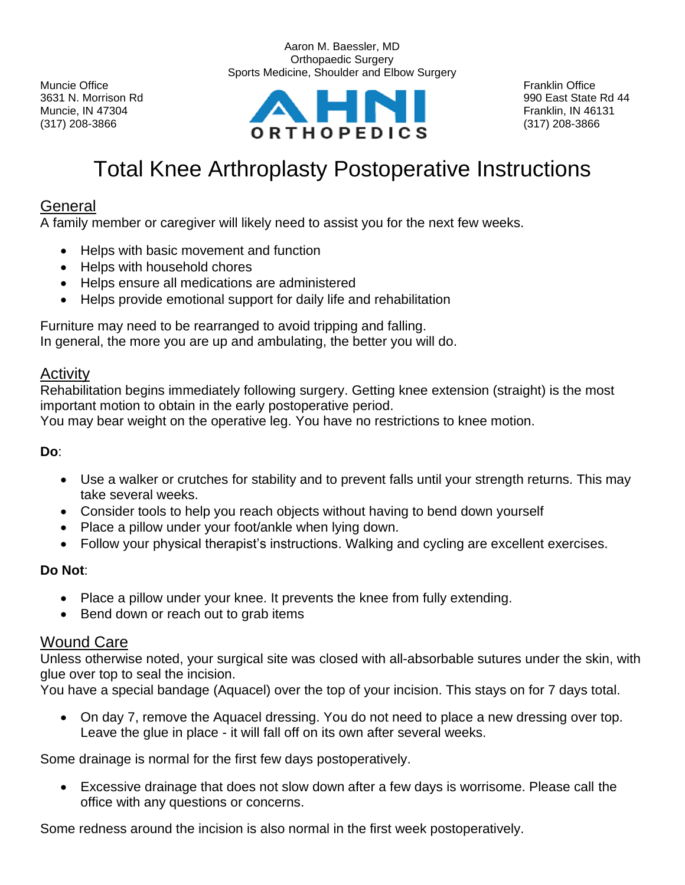

Aaron M. Baessler, MD



# Total Knee Arthroplasty Postoperative Instructions

## General

A family member or caregiver will likely need to assist you for the next few weeks.

- Helps with basic movement and function
- Helps with household chores
- Helps ensure all medications are administered
- Helps provide emotional support for daily life and rehabilitation

Furniture may need to be rearranged to avoid tripping and falling. In general, the more you are up and ambulating, the better you will do.

#### Activity

Rehabilitation begins immediately following surgery. Getting knee extension (straight) is the most important motion to obtain in the early postoperative period.

You may bear weight on the operative leg. You have no restrictions to knee motion.

#### **Do**:

- Use a walker or crutches for stability and to prevent falls until your strength returns. This may take several weeks.
- Consider tools to help you reach objects without having to bend down yourself
- Place a pillow under your foot/ankle when lying down.
- Follow your physical therapist's instructions. Walking and cycling are excellent exercises.

#### **Do Not**:

- Place a pillow under your knee. It prevents the knee from fully extending.
- Bend down or reach out to grab items

#### Wound Care

Unless otherwise noted, your surgical site was closed with all-absorbable sutures under the skin, with glue over top to seal the incision.

You have a special bandage (Aquacel) over the top of your incision. This stays on for 7 days total.

• On day 7, remove the Aquacel dressing. You do not need to place a new dressing over top. Leave the glue in place - it will fall off on its own after several weeks.

Some drainage is normal for the first few days postoperatively.

• Excessive drainage that does not slow down after a few days is worrisome. Please call the office with any questions or concerns.

Some redness around the incision is also normal in the first week postoperatively.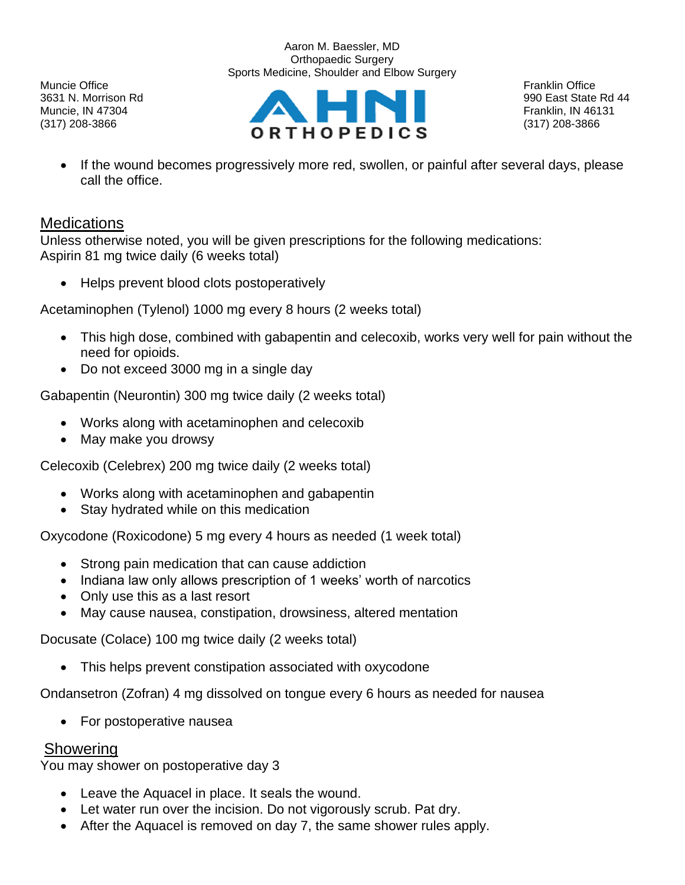Aaron M. Baessler, MD Orthopaedic Surgery Sports Medicine, Shoulder and Elbow Surgery

Muncie Office **Franklin Office** Franklin Office **Franklin Office** Franklin Office **Franklin Office** 



• If the wound becomes progressively more red, swollen, or painful after several days, please call the office.

#### **Medications**

Unless otherwise noted, you will be given prescriptions for the following medications: Aspirin 81 mg twice daily (6 weeks total)

• Helps prevent blood clots postoperatively

Acetaminophen (Tylenol) 1000 mg every 8 hours (2 weeks total)

- This high dose, combined with gabapentin and celecoxib, works very well for pain without the need for opioids.
- Do not exceed 3000 mg in a single day

Gabapentin (Neurontin) 300 mg twice daily (2 weeks total)

- Works along with acetaminophen and celecoxib
- May make you drowsy

Celecoxib (Celebrex) 200 mg twice daily (2 weeks total)

- Works along with acetaminophen and gabapentin
- Stay hydrated while on this medication

Oxycodone (Roxicodone) 5 mg every 4 hours as needed (1 week total)

- Strong pain medication that can cause addiction
- Indiana law only allows prescription of 1 weeks' worth of narcotics
- Only use this as a last resort
- May cause nausea, constipation, drowsiness, altered mentation

Docusate (Colace) 100 mg twice daily (2 weeks total)

• This helps prevent constipation associated with oxycodone

Ondansetron (Zofran) 4 mg dissolved on tongue every 6 hours as needed for nausea

• For postoperative nausea

## Showering

You may shower on postoperative day 3

- Leave the Aquacel in place. It seals the wound.
- Let water run over the incision. Do not vigorously scrub. Pat dry.
- After the Aquacel is removed on day 7, the same shower rules apply.